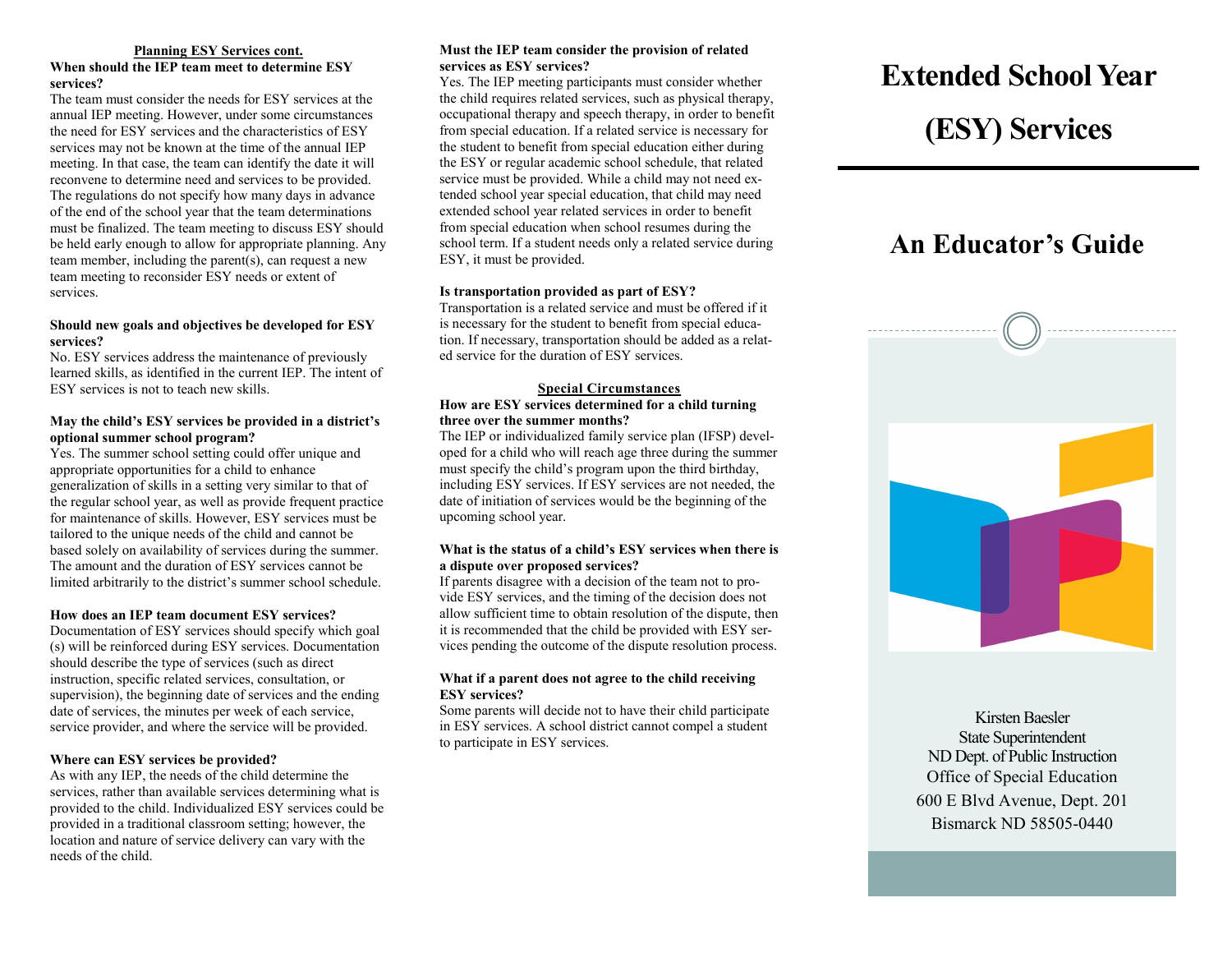#### **Planning ESY Services cont.**

#### **When should the IEP team meet to determine ESY services?**

The team must consider the needs for ESY services at the annual IEP meeting. However, under some circumstances the need for ESY services and the characteristics of ESY services may not be known at the time of the annual IEP meeting. In that case, the team can identify the date it will reconvene to determine need and services to be provided. The regulations do not specify how many days in advance of the end of the school year that the team determinations must be finalized. The team meeting to discuss ESY should be held early enough to allow for appropriate planning. Any team member, including the parent(s), can request a new team meeting to reconsider ESY needs or extent of services.

#### **Should new goals and objectives be developed for ESY services?**

No. ESY services address the maintenance of previously learned skills, as identified in the current IEP. The intent of ESY services is not to teach new skills.

#### **May the child's ESY services be provided in a district's optional summer school program?**

Yes. The summer school setting could offer unique and appropriate opportunities for a child to enhance generalization of skills in a setting very similar to that of the regular school year, as well as provide frequent practice for maintenance of skills. However, ESY services must be tailored to the unique needs of the child and cannot be based solely on availability of services during the summer. The amount and the duration of ESY services cannot be limited arbitrarily to the district's summer school schedule.

#### **How does an IEP team document ESY services?**

Documentation of ESY services should specify which goal (s) will be reinforced during ESY services. Documentation should describe the type of services (such as direct instruction, specific related services, consultation, or supervision), the beginning date of services and the ending date of services, the minutes per week of each service, service provider, and where the service will be provided.

#### **Where can ESY services be provided?**

As with any IEP, the needs of the child determine the services, rather than available services determining what is provided to the child. Individualized ESY services could be provided in a traditional classroom setting; however, the location and nature of service delivery can vary with the needs of the child.

#### **Must the IEP team consider the provision of related services as ESY services?**

Yes. The IEP meeting participants must consider whether the child requires related services, such as physical therapy, occupational therapy and speech therapy, in order to benefit from special education. If a related service is necessary for the student to benefit from special education either during the ESY or regular academic school schedule, that related service must be provided. While a child may not need extended school year special education, that child may need extended school year related services in order to benefit from special education when school resumes during the school term. If a student needs only a related service during ESY, it must be provided.

#### **Is transportation provided as part of ESY?**

Transportation is a related service and must be offered if it is necessary for the student to benefit from special education. If necessary, transportation should be added as a related service for the duration of ESY services.

#### **Special Circumstances**

#### **How are ESY services determined for a child turning three over the summer months?**

The IEP or individualized family service plan (IFSP) developed for a child who will reach age three during the summer must specify the child's program upon the third birthday, including ESY services. If ESY services are not needed, the date of initiation of services would be the beginning of the upcoming school year.

#### **What is the status of a child's ESY services when there is a dispute over proposed services?**

If parents disagree with a decision of the team not to provide ESY services, and the timing of the decision does not allow sufficient time to obtain resolution of the dispute, then it is recommended that the child be provided with ESY services pending the outcome of the dispute resolution process.

#### **What if a parent does not agree to the child receiving ESY services?**

Some parents will decide not to have their child participate in ESY services. A school district cannot compel a student to participate in ESY services.

# **Extended School Year**

## **(ESY) Services**

### **An Educator's Guide**



Kirsten Baesler State Superintendent ND Dept. of Public Instruction Office of Special Education 600 E Blvd Avenue, Dept. 201 Bismarck ND 58505-0440